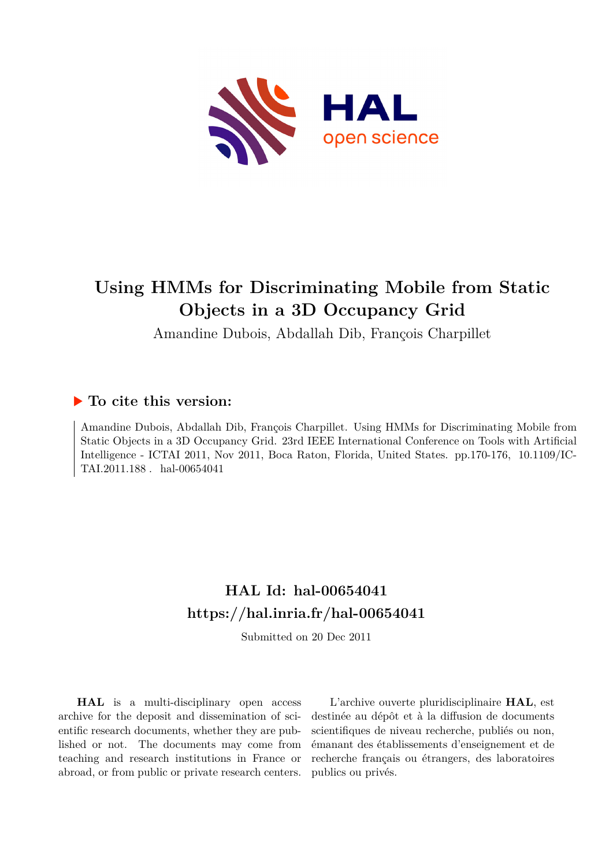

# **Using HMMs for Discriminating Mobile from Static Objects in a 3D Occupancy Grid**

Amandine Dubois, Abdallah Dib, François Charpillet

# **To cite this version:**

Amandine Dubois, Abdallah Dib, François Charpillet. Using HMMs for Discriminating Mobile from Static Objects in a 3D Occupancy Grid. 23rd IEEE International Conference on Tools with Artificial Intelligence - ICTAI 2011, Nov 2011, Boca Raton, Florida, United States. pp.170-176, 10.1109/IC- $TAI.2011.188$ . hal-00654041

# **HAL Id: hal-00654041 <https://hal.inria.fr/hal-00654041>**

Submitted on 20 Dec 2011

**HAL** is a multi-disciplinary open access archive for the deposit and dissemination of scientific research documents, whether they are published or not. The documents may come from teaching and research institutions in France or abroad, or from public or private research centers.

L'archive ouverte pluridisciplinaire **HAL**, est destinée au dépôt et à la diffusion de documents scientifiques de niveau recherche, publiés ou non, émanant des établissements d'enseignement et de recherche français ou étrangers, des laboratoires publics ou privés.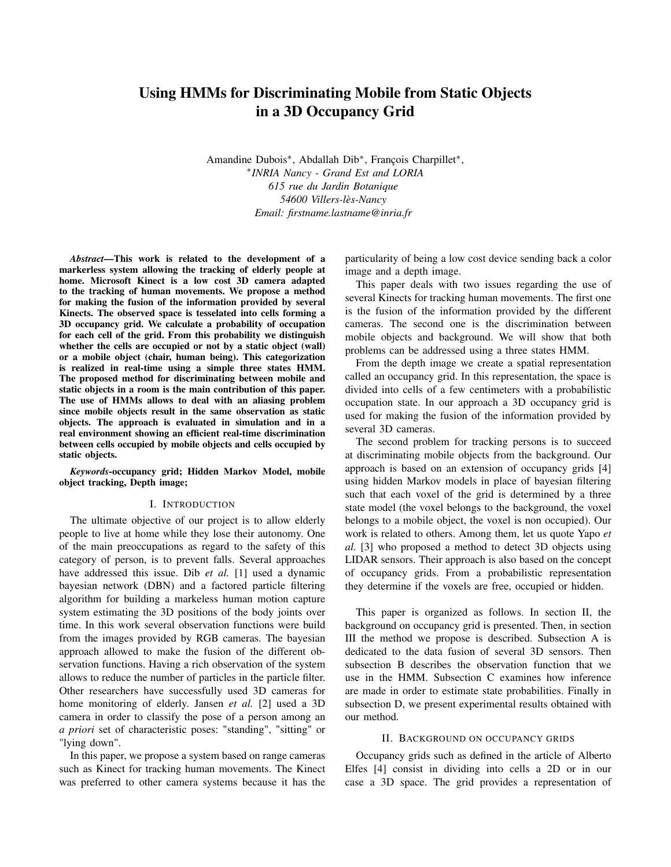# Using HMMs for Discriminating Mobile from Static Objects in a 3D Occupancy Grid

Amandine Dubois<sup>∗</sup> , Abdallah Dib<sup>∗</sup> , François Charpillet<sup>∗</sup> , ∗ *INRIA Nancy - Grand Est and LORIA 615 rue du Jardin Botanique 54600 Villers-lès-Nancy Email: firstname.lastname@inria.fr*

*Abstract*—This work is related to the development of a markerless system allowing the tracking of elderly people at home. Microsoft Kinect is a low cost 3D camera adapted to the tracking of human movements. We propose a method for making the fusion of the information provided by several Kinects. The observed space is tesselated into cells forming a 3D occupancy grid. We calculate a probability of occupation for each cell of the grid. From this probability we distinguish whether the cells are occupied or not by a static object (wall) or a mobile object (chair, human being). This categorization is realized in real-time using a simple three states HMM. The proposed method for discriminating between mobile and static objects in a room is the main contribution of this paper. The use of HMMs allows to deal with an aliasing problem since mobile objects result in the same observation as static objects. The approach is evaluated in simulation and in a real environment showing an efficient real-time discrimination between cells occupied by mobile objects and cells occupied by static objects.

*Keywords*-occupancy grid; Hidden Markov Model, mobile object tracking, Depth image;

#### I. INTRODUCTION

The ultimate objective of our project is to allow elderly people to live at home while they lose their autonomy. One of the main preoccupations as regard to the safety of this category of person, is to prevent falls. Several approaches have addressed this issue. Dib *et al.* [1] used a dynamic bayesian network (DBN) and a factored particle filtering algorithm for building a markeless human motion capture system estimating the 3D positions of the body joints over time. In this work several observation functions were build from the images provided by RGB cameras. The bayesian approach allowed to make the fusion of the different observation functions. Having a rich observation of the system allows to reduce the number of particles in the particle filter. Other researchers have successfully used 3D cameras for home monitoring of elderly. Jansen *et al.* [2] used a 3D camera in order to classify the pose of a person among an *a priori* set of characteristic poses: "standing", "sitting" or "lying down".

In this paper, we propose a system based on range cameras such as Kinect for tracking human movements. The Kinect was preferred to other camera systems because it has the particularity of being a low cost device sending back a color image and a depth image.

This paper deals with two issues regarding the use of several Kinects for tracking human movements. The first one is the fusion of the information provided by the different cameras. The second one is the discrimination between mobile objects and background. We will show that both problems can be addressed using a three states HMM.

From the depth image we create a spatial representation called an occupancy grid. In this representation, the space is divided into cells of a few centimeters with a probabilistic occupation state. In our approach a 3D occupancy grid is used for making the fusion of the information provided by several 3D cameras.

The second problem for tracking persons is to succeed at discriminating mobile objects from the background. Our approach is based on an extension of occupancy grids [4] using hidden Markov models in place of bayesian filtering such that each voxel of the grid is determined by a three state model (the voxel belongs to the background, the voxel belongs to a mobile object, the voxel is non occupied). Our work is related to others. Among them, let us quote Yapo *et al.* [3] who proposed a method to detect 3D objects using LIDAR sensors. Their approach is also based on the concept of occupancy grids. From a probabilistic representation they determine if the voxels are free, occupied or hidden.

This paper is organized as follows. In section II, the background on occupancy grid is presented. Then, in section III the method we propose is described. Subsection A is dedicated to the data fusion of several 3D sensors. Then subsection B describes the observation function that we use in the HMM. Subsection C examines how inference are made in order to estimate state probabilities. Finally in subsection D, we present experimental results obtained with our method.

#### II. BACKGROUND ON OCCUPANCY GRIDS

Occupancy grids such as defined in the article of Alberto Elfes [4] consist in dividing into cells a 2D or in our case a 3D space. The grid provides a representation of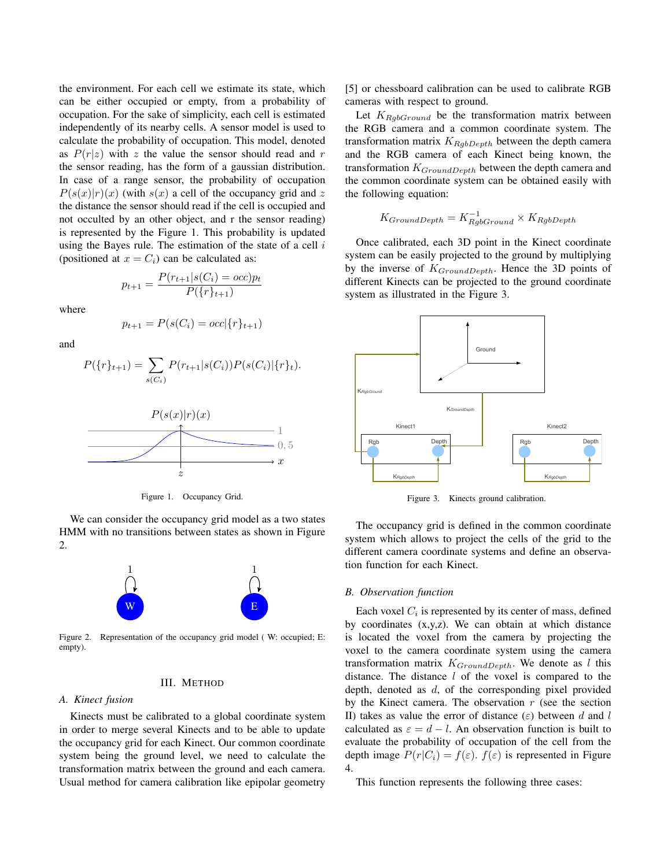the environment. For each cell we estimate its state, which can be either occupied or empty, from a probability of occupation. For the sake of simplicity, each cell is estimated independently of its nearby cells. A sensor model is used to calculate the probability of occupation. This model, denoted as  $P(r|z)$  with z the value the sensor should read and r the sensor reading, has the form of a gaussian distribution. In case of a range sensor, the probability of occupation  $P(s(x)|r)(x)$  (with  $s(x)$  a cell of the occupancy grid and z the distance the sensor should read if the cell is occupied and not occulted by an other object, and r the sensor reading) is represented by the Figure 1. This probability is updated using the Bayes rule. The estimation of the state of a cell  $i$ (positioned at  $x = C_i$ ) can be calculated as:

> $p_{t+1} = \frac{P(r_{t+1}|s(C_i) = occ)p_t}{P(r_{t+1})}$  $P({r}_{t+1})$

where

$$
p_{t+1} = P(s(C_i) = occ | \{r\}_{t+1})
$$

and

$$
P(\{r\}_{t+1}) = \sum_{s(C_i)} P(r_{t+1}|s(C_i))P(s(C_i)|\{r\}_t).
$$



Figure 1. Occupancy Grid.

We can consider the occupancy grid model as a two states HMM with no transitions between states as shown in Figure 2.



Figure 2. Representation of the occupancy grid model ( W: occupied; E: empty).

## III. METHOD

#### *A. Kinect fusion*

Kinects must be calibrated to a global coordinate system in order to merge several Kinects and to be able to update the occupancy grid for each Kinect. Our common coordinate system being the ground level, we need to calculate the transformation matrix between the ground and each camera. Usual method for camera calibration like epipolar geometry [5] or chessboard calibration can be used to calibrate RGB cameras with respect to ground.

Let  $K_{RgbGround}$  be the transformation matrix between the RGB camera and a common coordinate system. The transformation matrix  $K_{RgbDepth}$  between the depth camera and the RGB camera of each Kinect being known, the transformation  $K_{GroundDepth}$  between the depth camera and the common coordinate system can be obtained easily with the following equation:

$$
K_{GroundDepth} = K_{RgbGround}^{-1} \times K_{RgbDepth}
$$

Once calibrated, each 3D point in the Kinect coordinate system can be easily projected to the ground by multiplying by the inverse of  $K_{GroundDepth}$ . Hence the 3D points of different Kinects can be projected to the ground coordinate system as illustrated in the Figure 3.



Figure 3. Kinects ground calibration.

The occupancy grid is defined in the common coordinate system which allows to project the cells of the grid to the different camera coordinate systems and define an observation function for each Kinect.

#### *B. Observation function*

Each voxel  $C_i$  is represented by its center of mass, defined by coordinates (x,y,z). We can obtain at which distance is located the voxel from the camera by projecting the voxel to the camera coordinate system using the camera transformation matrix  $K_{GroundDepth}$ . We denote as l this distance. The distance  $l$  of the voxel is compared to the depth, denoted as d, of the corresponding pixel provided by the Kinect camera. The observation  $r$  (see the section II) takes as value the error of distance ( $\varepsilon$ ) between d and l calculated as  $\varepsilon = d - l$ . An observation function is built to evaluate the probability of occupation of the cell from the depth image  $P(r|C_i) = f(\varepsilon)$ .  $f(\varepsilon)$  is represented in Figure 4.

This function represents the following three cases: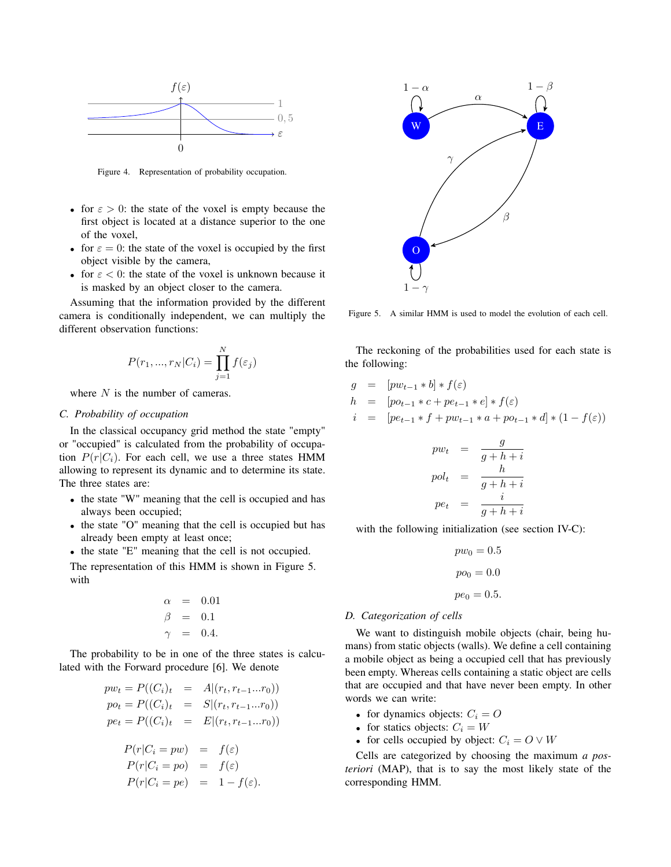

Figure 4. Representation of probability occupation.

- for  $\epsilon > 0$ : the state of the voxel is empty because the first object is located at a distance superior to the one of the voxel,
- for  $\varepsilon = 0$ : the state of the voxel is occupied by the first object visible by the camera,
- for  $\epsilon$  < 0: the state of the voxel is unknown because it is masked by an object closer to the camera.

Assuming that the information provided by the different camera is conditionally independent, we can multiply the different observation functions:

$$
P(r_1, ..., r_N|C_i) = \prod_{j=1}^N f(\varepsilon_j)
$$

where N is the number of cameras.

# *C. Probability of occupation*

In the classical occupancy grid method the state "empty" or "occupied" is calculated from the probability of occupation  $P(r|C_i)$ . For each cell, we use a three states HMM allowing to represent its dynamic and to determine its state. The three states are:

- the state "W" meaning that the cell is occupied and has always been occupied;
- the state "O" meaning that the cell is occupied but has already been empty at least once;
- the state "E" meaning that the cell is not occupied.

The representation of this HMM is shown in Figure 5. with

$$
\begin{array}{rcl}\n\alpha & = & 0.01 \\
\beta & = & 0.1 \\
\gamma & = & 0.4.\n\end{array}
$$

The probability to be in one of the three states is calculated with the Forward procedure [6]. We denote

$$
pw_t = P((C_i)_t = A | (r_t, r_{t-1}...r_0))
$$
  
\n
$$
po_t = P((C_i)_t = S | (r_t, r_{t-1}...r_0))
$$
  
\n
$$
pe_t = P((C_i)_t = E | (r_t, r_{t-1}...r_0))
$$

$$
P(r|C_i = pw) = f(\varepsilon)
$$
  
\n
$$
P(r|C_i = po) = f(\varepsilon)
$$
  
\n
$$
P(r|C_i = pe) = 1 - f(\varepsilon).
$$



Figure 5. A similar HMM is used to model the evolution of each cell.

The reckoning of the probabilities used for each state is the following:

$$
g = [pw_{t-1} * b] * f(\varepsilon)
$$
  
\n
$$
h = [po_{t-1} * c + pe_{t-1} * e] * f(\varepsilon)
$$
  
\n
$$
i = [pe_{t-1} * f + pw_{t-1} * a + po_{t-1} * d] * (1 - f(\varepsilon))
$$

$$
pw_t = \frac{g}{g+h+i}
$$
  

$$
pol_t = \frac{h}{g+h+i}
$$
  

$$
pe_t = \frac{i}{g+h+i}
$$

with the following initialization (see section IV-C):

$$
pw_0 = 0.5
$$

$$
po_0 = 0.0
$$

$$
pe_0 = 0.5.
$$

### *D. Categorization of cells*

We want to distinguish mobile objects (chair, being humans) from static objects (walls). We define a cell containing a mobile object as being a occupied cell that has previously been empty. Whereas cells containing a static object are cells that are occupied and that have never been empty. In other words we can write:

- for dynamics objects:  $C_i = O$
- for statics objects:  $C_i = W$
- for cells occupied by object:  $C_i = O \vee W$

Cells are categorized by choosing the maximum *a posteriori* (MAP), that is to say the most likely state of the corresponding HMM.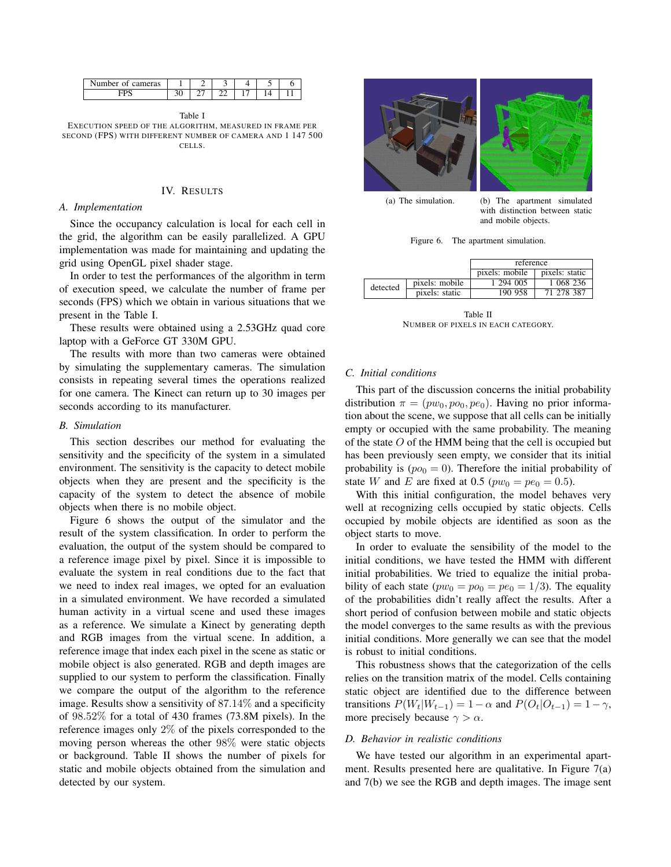| Number of<br>cameras |   |   |  |  |
|----------------------|---|---|--|--|
|                      | ◡ | - |  |  |

Table I EXECUTION SPEED OF THE ALGORITHM, MEASURED IN FRAME PER SECOND (FPS) WITH DIFFERENT NUMBER OF CAMERA AND 1 147 500 CELLS.

### IV. RESULTS

#### *A. Implementation*

Since the occupancy calculation is local for each cell in the grid, the algorithm can be easily parallelized. A GPU implementation was made for maintaining and updating the grid using OpenGL pixel shader stage.

In order to test the performances of the algorithm in term of execution speed, we calculate the number of frame per seconds (FPS) which we obtain in various situations that we present in the Table I.

These results were obtained using a 2.53GHz quad core laptop with a GeForce GT 330M GPU.

The results with more than two cameras were obtained by simulating the supplementary cameras. The simulation consists in repeating several times the operations realized for one camera. The Kinect can return up to 30 images per seconds according to its manufacturer.

### *B. Simulation*

This section describes our method for evaluating the sensitivity and the specificity of the system in a simulated environment. The sensitivity is the capacity to detect mobile objects when they are present and the specificity is the capacity of the system to detect the absence of mobile objects when there is no mobile object.

Figure 6 shows the output of the simulator and the result of the system classification. In order to perform the evaluation, the output of the system should be compared to a reference image pixel by pixel. Since it is impossible to evaluate the system in real conditions due to the fact that we need to index real images, we opted for an evaluation in a simulated environment. We have recorded a simulated human activity in a virtual scene and used these images as a reference. We simulate a Kinect by generating depth and RGB images from the virtual scene. In addition, a reference image that index each pixel in the scene as static or mobile object is also generated. RGB and depth images are supplied to our system to perform the classification. Finally we compare the output of the algorithm to the reference image. Results show a sensitivity of 87.14% and a specificity of 98.52% for a total of 430 frames (73.8M pixels). In the reference images only 2% of the pixels corresponded to the moving person whereas the other 98% were static objects or background. Table II shows the number of pixels for static and mobile objects obtained from the simulation and detected by our system.



(a) The simulation. (b) The apartment simulated with distinction between static and mobile objects.

| Figure 6. | The apartment simulation. |  |
|-----------|---------------------------|--|
|           |                           |  |

|          |                | reference      |                |  |
|----------|----------------|----------------|----------------|--|
|          |                | pixels: mobile | pixels: static |  |
| detected | pixels: mobile | 1 294 005      | 1 068 236      |  |
|          | pixels: static | 190 958        | 71 278 387     |  |

Table II NUMBER OF PIXELS IN EACH CATEGORY.

#### *C. Initial conditions*

This part of the discussion concerns the initial probability distribution  $\pi = (pw_0, po_0, pe_0)$ . Having no prior information about the scene, we suppose that all cells can be initially empty or occupied with the same probability. The meaning of the state  $O$  of the HMM being that the cell is occupied but has been previously seen empty, we consider that its initial probability is  $(po_0 = 0)$ . Therefore the initial probability of state W and E are fixed at 0.5 ( $pw_0 = pe_0 = 0.5$ ).

With this initial configuration, the model behaves very well at recognizing cells occupied by static objects. Cells occupied by mobile objects are identified as soon as the object starts to move.

In order to evaluate the sensibility of the model to the initial conditions, we have tested the HMM with different initial probabilities. We tried to equalize the initial probability of each state ( $pw_0 = po_0 = pe_0 = 1/3$ ). The equality of the probabilities didn't really affect the results. After a short period of confusion between mobile and static objects the model converges to the same results as with the previous initial conditions. More generally we can see that the model is robust to initial conditions.

This robustness shows that the categorization of the cells relies on the transition matrix of the model. Cells containing static object are identified due to the difference between transitions  $P(W_t|W_{t-1}) = 1 - \alpha$  and  $P(O_t|O_{t-1}) = 1 - \gamma$ , more precisely because  $\gamma > \alpha$ .

### *D. Behavior in realistic conditions*

We have tested our algorithm in an experimental apartment. Results presented here are qualitative. In Figure 7(a) and 7(b) we see the RGB and depth images. The image sent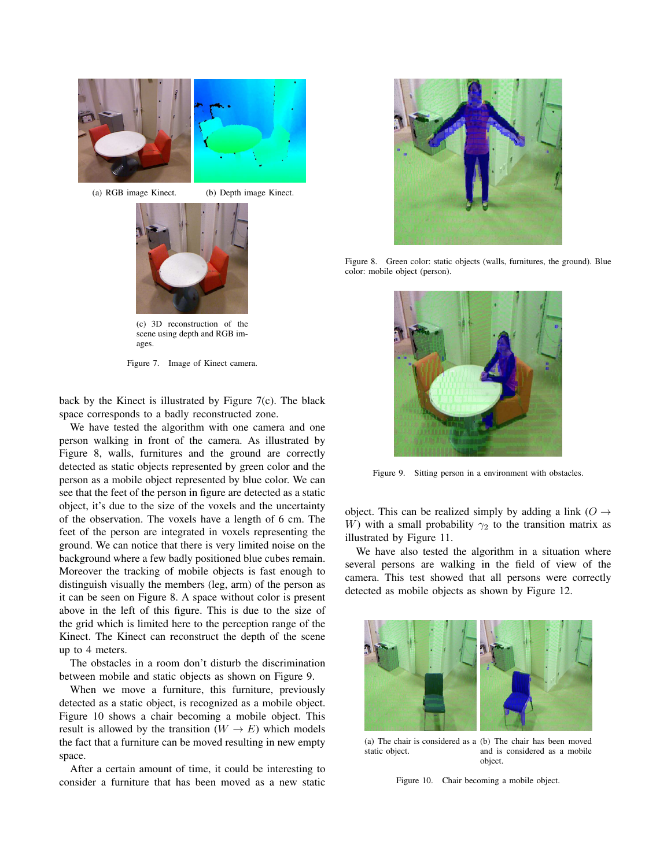

(a) RGB image Kinect. (b) Depth image Kinect.



(c) 3D reconstruction of the scene using depth and RGB images.

Figure 7. Image of Kinect camera.

back by the Kinect is illustrated by Figure 7(c). The black space corresponds to a badly reconstructed zone.

We have tested the algorithm with one camera and one person walking in front of the camera. As illustrated by Figure 8, walls, furnitures and the ground are correctly detected as static objects represented by green color and the person as a mobile object represented by blue color. We can see that the feet of the person in figure are detected as a static object, it's due to the size of the voxels and the uncertainty of the observation. The voxels have a length of 6 cm. The feet of the person are integrated in voxels representing the ground. We can notice that there is very limited noise on the background where a few badly positioned blue cubes remain. Moreover the tracking of mobile objects is fast enough to distinguish visually the members (leg, arm) of the person as it can be seen on Figure 8. A space without color is present above in the left of this figure. This is due to the size of the grid which is limited here to the perception range of the Kinect. The Kinect can reconstruct the depth of the scene up to 4 meters.

The obstacles in a room don't disturb the discrimination between mobile and static objects as shown on Figure 9.

When we move a furniture, this furniture, previously detected as a static object, is recognized as a mobile object. Figure 10 shows a chair becoming a mobile object. This result is allowed by the transition  $(W \rightarrow E)$  which models the fact that a furniture can be moved resulting in new empty space.

After a certain amount of time, it could be interesting to consider a furniture that has been moved as a new static



Figure 8. Green color: static objects (walls, furnitures, the ground). Blue color: mobile object (person).



Figure 9. Sitting person in a environment with obstacles.

object. This can be realized simply by adding a link ( $O \rightarrow$ W) with a small probability  $\gamma_2$  to the transition matrix as illustrated by Figure 11.

We have also tested the algorithm in a situation where several persons are walking in the field of view of the camera. This test showed that all persons were correctly detected as mobile objects as shown by Figure 12.



(a) The chair is considered as a (b) The chair has been moved static object. and is considered as a mobile object.

Figure 10. Chair becoming a mobile object.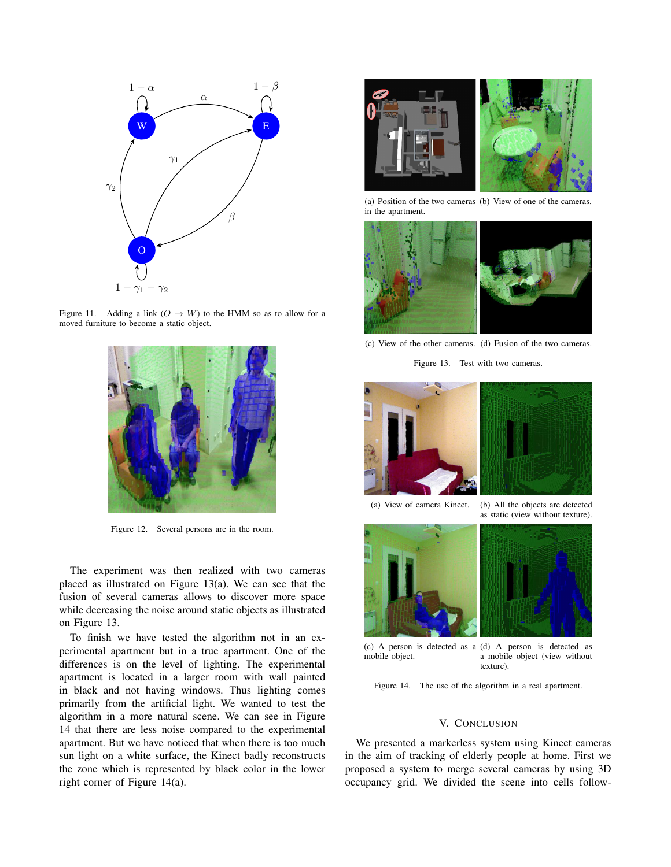





Figure 12. Several persons are in the room.

The experiment was then realized with two cameras placed as illustrated on Figure 13(a). We can see that the fusion of several cameras allows to discover more space while decreasing the noise around static objects as illustrated on Figure 13.

To finish we have tested the algorithm not in an experimental apartment but in a true apartment. One of the differences is on the level of lighting. The experimental apartment is located in a larger room with wall painted in black and not having windows. Thus lighting comes primarily from the artificial light. We wanted to test the algorithm in a more natural scene. We can see in Figure 14 that there are less noise compared to the experimental apartment. But we have noticed that when there is too much sun light on a white surface, the Kinect badly reconstructs the zone which is represented by black color in the lower right corner of Figure 14(a).



(a) Position of the two cameras (b) View of one of the cameras. in the apartment.



(c) View of the other cameras. (d) Fusion of the two cameras.

Figure 13. Test with two cameras.





(a) View of camera Kinect. (b) All the objects are detected as static (view without texture).





(c) A person is detected as a (d) A person is detected as mobile object. a mobile object (view without texture).

Figure 14. The use of the algorithm in a real apartment.

## V. CONCLUSION

We presented a markerless system using Kinect cameras in the aim of tracking of elderly people at home. First we proposed a system to merge several cameras by using 3D occupancy grid. We divided the scene into cells follow